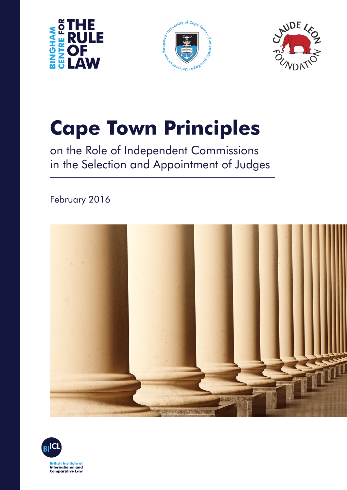





# **Cape Town Principles**

on the Role of Independent Commissions in the Selection and Appointment of Judges

February 2016



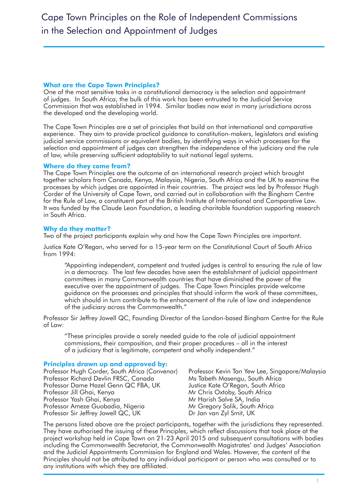## **What are the Cape Town Principles?**

One of the most sensitive tasks in a constitutional democracy is the selection and appointment of judges. In South Africa, the bulk of this work has been entrusted to the Judicial Service Commission that was established in 1994. Similar bodies now exist in many jurisdictions across the developed and the developing world.

The Cape Town Principles are a set of principles that build on that international and comparative experience. They aim to provide practical guidance to constitution-makers, legislators and existing judicial service commissions or equivalent bodies, by identifying ways in which processes for the selection and appointment of judges can strengthen the independence of the judiciary and the rule of law, while preserving sufficient adaptability to suit national legal systems.

#### **Where do they come from?**

The Cape Town Principles are the outcome of an international research project which brought together scholars from Canada, Kenya, Malaysia, Nigeria, South Africa and the UK to examine the processes by which judges are appointed in their countries. The project was led by Professor Hugh Corder of the University of Cape Town, and carried out in collaboration with the Bingham Centre for the Rule of Law, a constituent part of the British Institute of International and Comparative Law. It was funded by the Claude Leon Foundation, a leading charitable foundation supporting research in South Africa.

## **Why do they matter?**

Two of the project participants explain why and how the Cape Town Principles are important.

Justice Kate O'Regan, who served for a 15-year term on the Constitutional Court of South Africa from 1994:

"Appointing independent, competent and trusted judges is central to ensuring the rule of law in a democracy. The last few decades have seen the establishment of judicial appointment committees in many Commonwealth countries that have diminished the power of the executive over the appointment of judges. The Cape Town Principles provide welcome guidance on the processes and principles that should inform the work of these committees, which should in turn contribute to the enhancement of the rule of law and independence of the judiciary across the Commonwealth."

Professor Sir Jeffrey Jowell QC, Founding Director of the London-based Bingham Centre for the Rule of Law:

"These principles provide a sorely needed guide to the role of judicial appointment commissions, their composition, and their proper procedures – all in the interest of a judiciary that is legitimate, competent and wholly independent."

#### **Principles drawn up and approved by:**

Professor Hugh Corder, South Africa (Convenor) Professor Richard Devlin FRSC, Canada Professor Dame Hazel Genn QC FBA, UK Professor Jill Ghai, Kenya Professor Yash Ghai, Kenya Professor Ameze Guobadia, Nigeria Professor Sir Jeffrey Jowell QC, UK

Professor Kevin Tan Yew Lee, Singapore/Malaysia Ms Tabeth Masengu, South Africa Justice Kate O'Regan, South Africa Mr Chris Oxtoby, South Africa Mr Harish Salve SA, India Mr Gregory Solik, South Africa Dr Jan van Zyl Smit, UK

The persons listed above are the project participants, together with the jurisdictions they represented. They have authorised the issuing of these Principles, which reflect discussions that took place at the project workshop held in Cape Town on 21-23 April 2015 and subsequent consultations with bodies including the Commonwealth Secretariat, the Commonwealth Magistrates' and Judges' Association and the Judicial Appointments Commission for England and Wales. However, the content of the Principles should not be attributed to any individual participant or person who was consulted or to any institutions with which they are affiliated.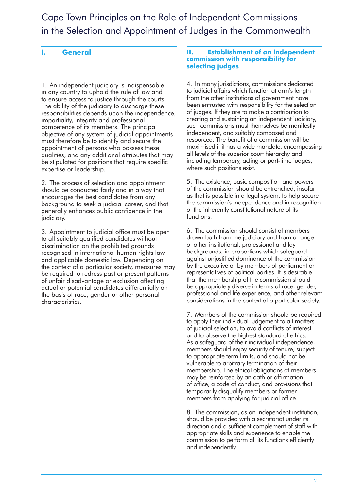Cape Town Principles on the Role of Independent Commissions in the Selection and Appointment of Judges in the Commonwealth

# **I. General**

1. An independent judiciary is indispensable in any country to uphold the rule of law and to ensure access to justice through the courts. The ability of the judiciary to discharge these responsibilities depends upon the independence, impartiality, integrity and professional competence of its members. The principal objective of any system of judicial appointments must therefore be to identify and secure the appointment of persons who possess these qualities, and any additional attributes that may be stipulated for positions that require specific expertise or leadership.

2. The process of selection and appointment should be conducted fairly and in a way that encourages the best candidates from any background to seek a judicial career, and that generally enhances public confidence in the judiciary.

3. Appointment to judicial office must be open to all suitably qualified candidates without discrimination on the prohibited grounds recognised in international human rights law and applicable domestic law. Depending on the context of a particular society, measures may be required to redress past or present patterns of unfair disadvantage or exclusion affecting actual or potential candidates differentially on the basis of race, gender or other personal characteristics.

#### **II. Establishment of an independent commission with responsibility for selecting judges**

4. In many jurisdictions, commissions dedicated to judicial affairs which function at arm's length from the other institutions of government have been entrusted with responsibility for the selection of judges. If they are to make a contribution to creating and sustaining an independent judiciary, such commissions must themselves be manifestly independent, and suitably composed and resourced. The benefit of a commission will be maximised if it has a wide mandate, encompassing all levels of the superior court hierarchy and including temporary, acting or part-time judges, where such positions exist.

5. The existence, basic composition and powers of the commission should be entrenched, insofar as that is possible in a legal system, to help secure the commission's independence and in recognition of the inherently constitutional nature of its functions.

6. The commission should consist of members drawn both from the judiciary and from a range of other institutional, professional and lay backgrounds, in proportions which safeguard against unjustified dominance of the commission by the executive or by members of parliament or representatives of political parties. It is desirable that the membership of the commission should be appropriately diverse in terms of race, gender, professional and life experience, and other relevant considerations in the context of a particular society.

7. Members of the commission should be required to apply their individual judgement to all matters of judicial selection, to avoid conflicts of interest and to observe the highest standard of ethics. As a safeguard of their individual independence, members should enjoy security of tenure, subject to appropriate term limits, and should not be vulnerable to arbitrary termination of their membership. The ethical obligations of members may be reinforced by an oath or affirmation of office, a code of conduct, and provisions that temporarily disqualify members or former members from applying for judicial office.

8. The commission, as an independent institution, should be provided with a secretariat under its direction and a sufficient complement of staff with appropriate skills and experience to enable the commission to perform all its functions efficiently and independently.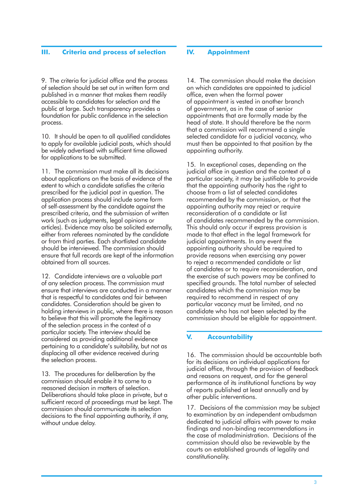#### **III. Criteria and process of selection**

9. The criteria for judicial office and the process of selection should be set out in written form and published in a manner that makes them readily accessible to candidates for selection and the public at large. Such transparency provides a foundation for public confidence in the selection process.

10. It should be open to all qualified candidates to apply for available judicial posts, which should be widely advertised with sufficient time allowed for applications to be submitted.

11. The commission must make all its decisions about applications on the basis of evidence of the extent to which a candidate satisfies the criteria prescribed for the judicial post in question. The application process should include some form of self-assessment by the candidate against the prescribed criteria, and the submission of written work (such as judgments, legal opinions or articles). Evidence may also be solicited externally, either from referees nominated by the candidate or from third parties. Each shortlisted candidate should be interviewed. The commission should ensure that full records are kept of the information obtained from all sources.

12. Candidate interviews are a valuable part of any selection process. The commission must ensure that interviews are conducted in a manner that is respectful to candidates and fair between candidates. Consideration should be given to holding interviews in public, where there is reason to believe that this will promote the legitimacy of the selection process in the context of a particular society. The interview should be considered as providing additional evidence pertaining to a candidate's suitability, but not as displacing all other evidence received during the selection process.

13. The procedures for deliberation by the commission should enable it to come to a reasoned decision in matters of selection. Deliberations should take place in private, but a sufficient record of proceedings must be kept. The commission should communicate its selection decisions to the final appointing authority, if any, without undue delay.

#### **IV. Appointment**

14. The commission should make the decision on which candidates are appointed to judicial office, even when the formal power of appointment is vested in another branch of government, as in the case of senior appointments that are formally made by the head of state. It should therefore be the norm that a commission will recommend a single selected candidate for a judicial vacancy, who must then be appointed to that position by the appointing authority.

15. In exceptional cases, depending on the judicial office in question and the context of a particular society, it may be justifiable to provide that the appointing authority has the right to choose from a list of selected candidates recommended by the commission, or that the appointing authority may reject or require reconsideration of a candidate or list of candidates recommended by the commission. This should only occur if express provision is made to that effect in the legal framework for judicial appointments. In any event the appointing authority should be required to provide reasons when exercising any power to reject a recommended candidate or list of candidates or to require reconsideration, and the exercise of such powers may be confined to specified grounds. The total number of selected candidates which the commission may be required to recommend in respect of any particular vacancy must be limited, and no candidate who has not been selected by the commission should be eligible for appointment.

## **V. Accountability**

16. The commission should be accountable both for its decisions on individual applications for judicial office, through the provision of feedback and reasons on request, and for the general performance of its institutional functions by way of reports published at least annually and by other public interventions.

17. Decisions of the commission may be subject to examination by an independent ombudsman dedicated to judicial affairs with power to make findings and non-binding recommendations in the case of maladministration. Decisions of the commission should also be reviewable by the courts on established grounds of legality and constitutionality.